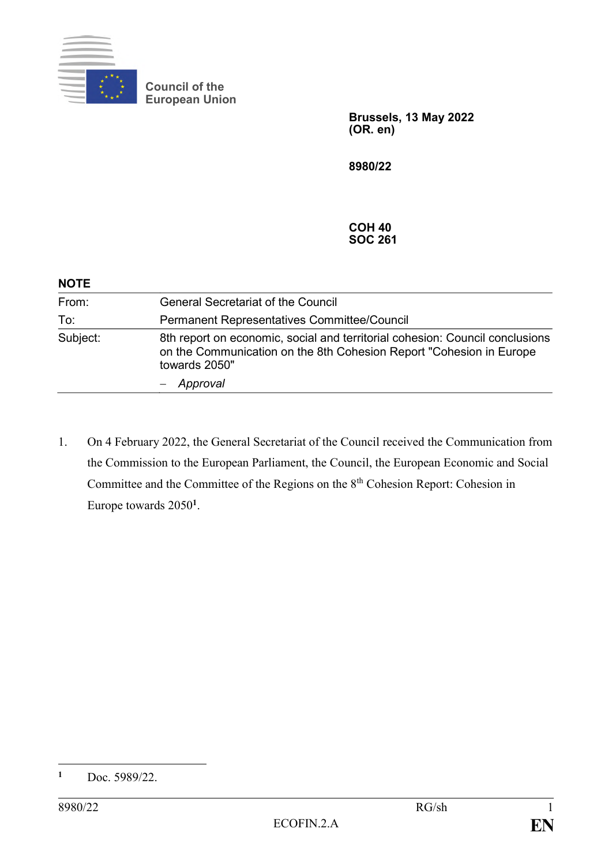

**Council of the European Union**

> **Brussels, 13 May 2022 (OR. en)**

**8980/22**

**COH 40 SOC 261**

| <b>NOTE</b> |                                                                                                                                                                       |
|-------------|-----------------------------------------------------------------------------------------------------------------------------------------------------------------------|
| From:       | <b>General Secretariat of the Council</b>                                                                                                                             |
| To:         | Permanent Representatives Committee/Council                                                                                                                           |
| Subject:    | 8th report on economic, social and territorial cohesion: Council conclusions<br>on the Communication on the 8th Cohesion Report "Cohesion in Europe"<br>towards 2050" |
|             | Approval                                                                                                                                                              |

1. On 4 February 2022, the General Secretariat of the Council received the Communication from the Commission to the European Parliament, the Council, the European Economic and Social Committee and the Committee of the Regions on the 8<sup>th</sup> Cohesion Report: Cohesion in Europe towards 2050**<sup>1</sup>** .

 $\mathbf{1}$ **<sup>1</sup>** Doc. 5989/22.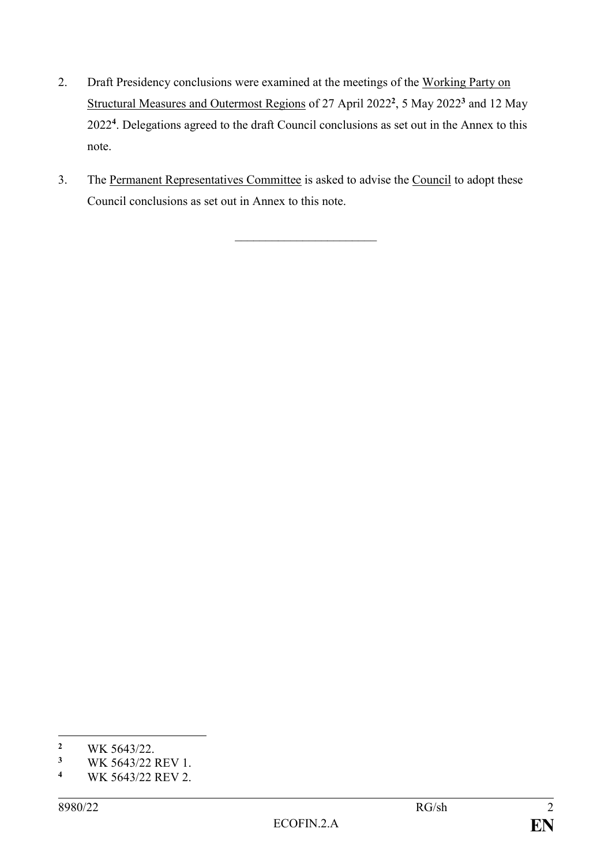- 2. Draft Presidency conclusions were examined at the meetings of the Working Party on Structural Measures and Outermost Regions of 27 April 2022 **2** , 5 May 2022**<sup>3</sup>** and 12 May 2022**<sup>4</sup>** . Delegations agreed to the draft Council conclusions as set out in the Annex to this note.
- 3. The Permanent Representatives Committee is asked to advise the Council to adopt these Council conclusions as set out in Annex to this note.

 $\overline{\phantom{a}}$  , where  $\overline{\phantom{a}}$ 

<sup>1</sup> <sup>2</sup> WK 5643/22.<br><sup>3</sup> WK 5643/22.

<sup>&</sup>lt;sup>3</sup> WK 5643/22 REV 1.<br><sup>4</sup> WK 5643/22 PEV 2.

**<sup>4</sup>** WK 5643/22 REV 2.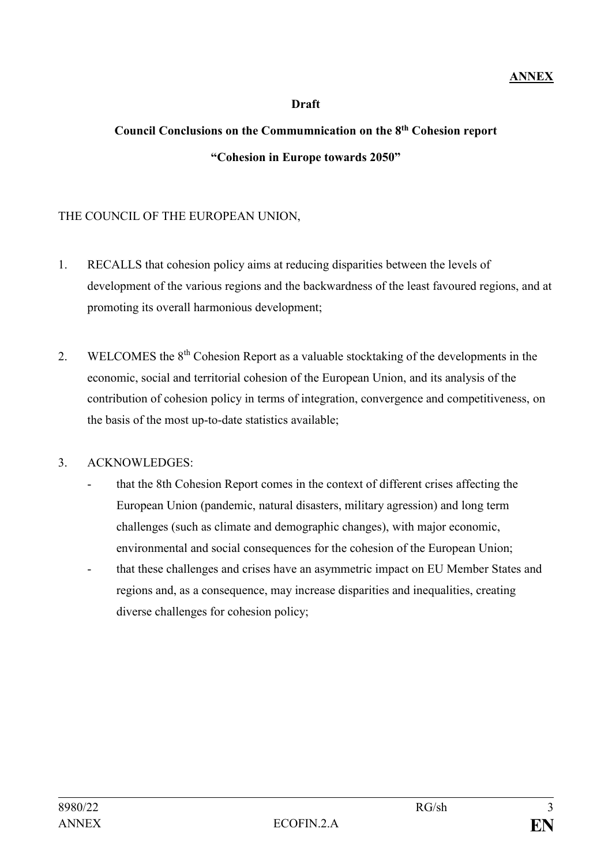### **Draft**

# **Council Conclusions on the Commumnication on the 8th Cohesion report "Cohesion in Europe towards 2050"**

### THE COUNCIL OF THE EUROPEAN UNION,

- 1. RECALLS that cohesion policy aims at reducing disparities between the levels of development of the various regions and the backwardness of the least favoured regions, and at promoting its overall harmonious development;
- 2. WELCOMES the 8<sup>th</sup> Cohesion Report as a valuable stocktaking of the developments in the economic, social and territorial cohesion of the European Union, and its analysis of the contribution of cohesion policy in terms of integration, convergence and competitiveness, on the basis of the most up-to-date statistics available;

### 3. ACKNOWLEDGES:

- that the 8th Cohesion Report comes in the context of different crises affecting the European Union (pandemic, natural disasters, military agression) and long term challenges (such as climate and demographic changes), with major economic, environmental and social consequences for the cohesion of the European Union; that these challenges and crises have an asymmetric impact on EU Member States and
	- regions and, as a consequence, may increase disparities and inequalities, creating diverse challenges for cohesion policy;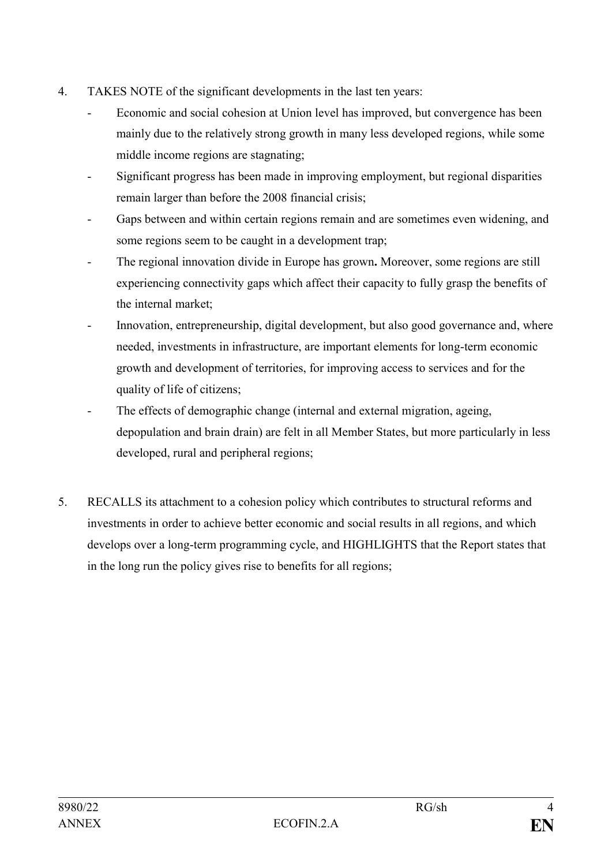- 4. TAKES NOTE of the significant developments in the last ten years:
	- Economic and social cohesion at Union level has improved, but convergence has been mainly due to the relatively strong growth in many less developed regions, while some middle income regions are stagnating;
	- Significant progress has been made in improving employment, but regional disparities remain larger than before the 2008 financial crisis;
	- Gaps between and within certain regions remain and are sometimes even widening, and some regions seem to be caught in a development trap;
	- The regional innovation divide in Europe has grown**.** Moreover, some regions are still experiencing connectivity gaps which affect their capacity to fully grasp the benefits of the internal market;
	- Innovation, entrepreneurship, digital development, but also good governance and, where needed, investments in infrastructure, are important elements for long-term economic growth and development of territories, for improving access to services and for the quality of life of citizens;
	- The effects of demographic change (internal and external migration, ageing, depopulation and brain drain) are felt in all Member States, but more particularly in less developed, rural and peripheral regions;
- 5. RECALLS its attachment to a cohesion policy which contributes to structural reforms and investments in order to achieve better economic and social results in all regions, and which develops over a long-term programming cycle, and HIGHLIGHTS that the Report states that in the long run the policy gives rise to benefits for all regions;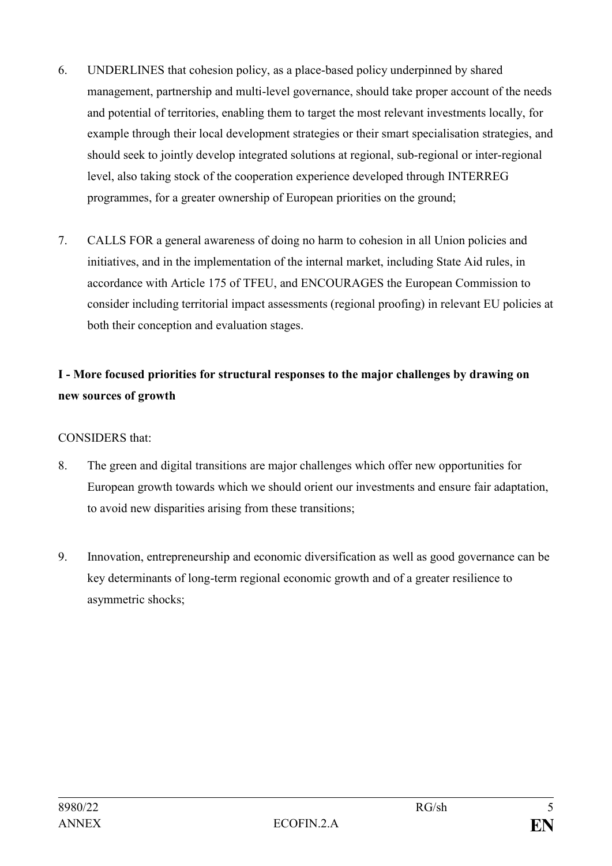- 6. UNDERLINES that cohesion policy, as a place-based policy underpinned by shared management, partnership and multi-level governance, should take proper account of the needs and potential of territories, enabling them to target the most relevant investments locally, for example through their local development strategies or their smart specialisation strategies, and should seek to jointly develop integrated solutions at regional, sub-regional or inter-regional level, also taking stock of the cooperation experience developed through INTERREG programmes, for a greater ownership of European priorities on the ground;
- 7. CALLS FOR a general awareness of doing no harm to cohesion in all Union policies and initiatives, and in the implementation of the internal market, including State Aid rules, in accordance with Article 175 of TFEU, and ENCOURAGES the European Commission to consider including territorial impact assessments (regional proofing) in relevant EU policies at both their conception and evaluation stages.

## **I - More focused priorities for structural responses to the major challenges by drawing on new sources of growth**

CONSIDERS that:

- 8. The green and digital transitions are major challenges which offer new opportunities for European growth towards which we should orient our investments and ensure fair adaptation, to avoid new disparities arising from these transitions;
- 9. Innovation, entrepreneurship and economic diversification as well as good governance can be key determinants of long-term regional economic growth and of a greater resilience to asymmetric shocks;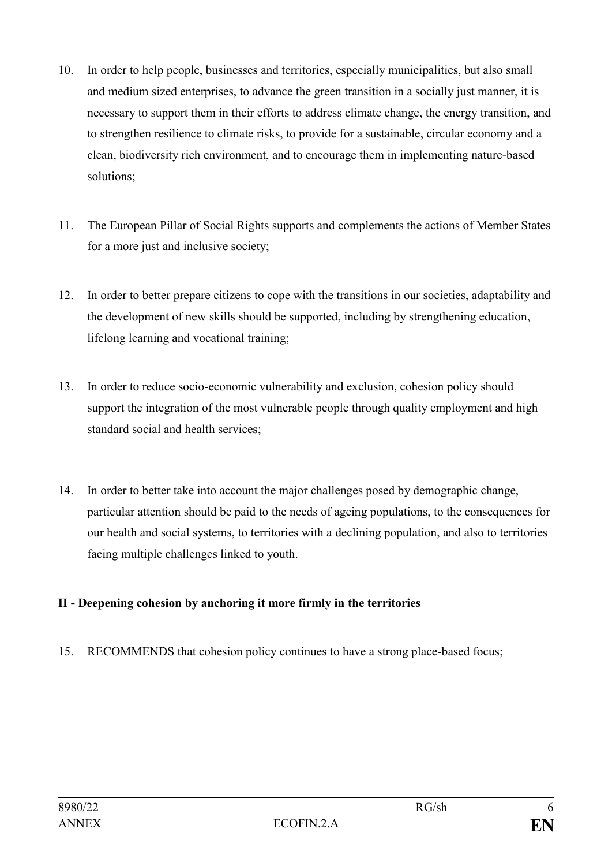- 10. In order to help people, businesses and territories, especially municipalities, but also small and medium sized enterprises, to advance the green transition in a socially just manner, it is necessary to support them in their efforts to address climate change, the energy transition, and to strengthen resilience to climate risks, to provide for a sustainable, circular economy and a clean, biodiversity rich environment, and to encourage them in implementing nature-based solutions;
- 11. The European Pillar of Social Rights supports and complements the actions of Member States for a more just and inclusive society;
- 12. In order to better prepare citizens to cope with the transitions in our societies, adaptability and the development of new skills should be supported, including by strengthening education, lifelong learning and vocational training;
- 13. In order to reduce socio-economic vulnerability and exclusion, cohesion policy should support the integration of the most vulnerable people through quality employment and high standard social and health services;
- 14. In order to better take into account the major challenges posed by demographic change, particular attention should be paid to the needs of ageing populations, to the consequences for our health and social systems, to territories with a declining population, and also to territories facing multiple challenges linked to youth.

### **II - Deepening cohesion by anchoring it more firmly in the territories**

15. RECOMMENDS that cohesion policy continues to have a strong place-based focus;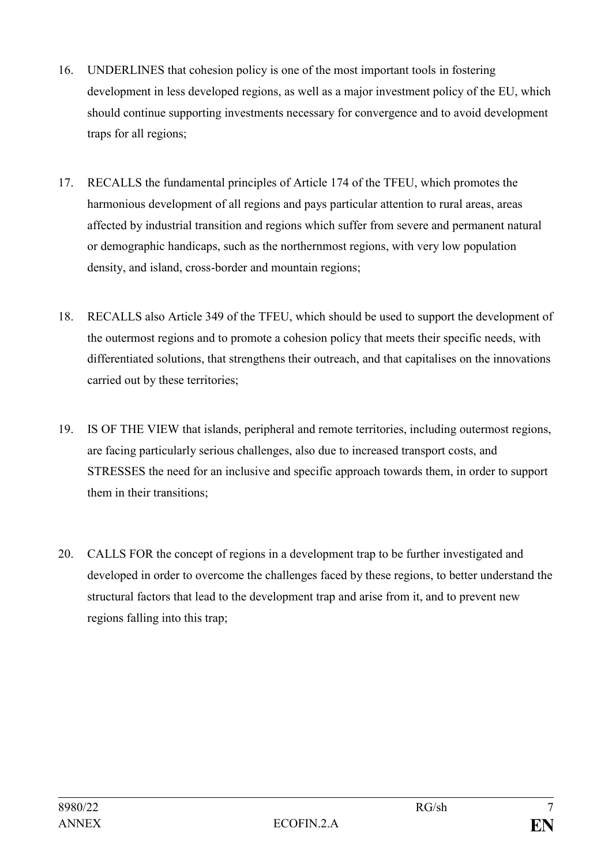- 16. UNDERLINES that cohesion policy is one of the most important tools in fostering development in less developed regions, as well as a major investment policy of the EU, which should continue supporting investments necessary for convergence and to avoid development traps for all regions;
- 17. RECALLS the fundamental principles of Article 174 of the TFEU, which promotes the harmonious development of all regions and pays particular attention to rural areas, areas affected by industrial transition and regions which suffer from severe and permanent natural or demographic handicaps, such as the northernmost regions, with very low population density, and island, cross-border and mountain regions;
- 18. RECALLS also Article 349 of the TFEU, which should be used to support the development of the outermost regions and to promote a cohesion policy that meets their specific needs, with differentiated solutions, that strengthens their outreach, and that capitalises on the innovations carried out by these territories;
- 19. IS OF THE VIEW that islands, peripheral and remote territories, including outermost regions, are facing particularly serious challenges, also due to increased transport costs, and STRESSES the need for an inclusive and specific approach towards them, in order to support them in their transitions;
- 20. CALLS FOR the concept of regions in a development trap to be further investigated and developed in order to overcome the challenges faced by these regions, to better understand the structural factors that lead to the development trap and arise from it, and to prevent new regions falling into this trap;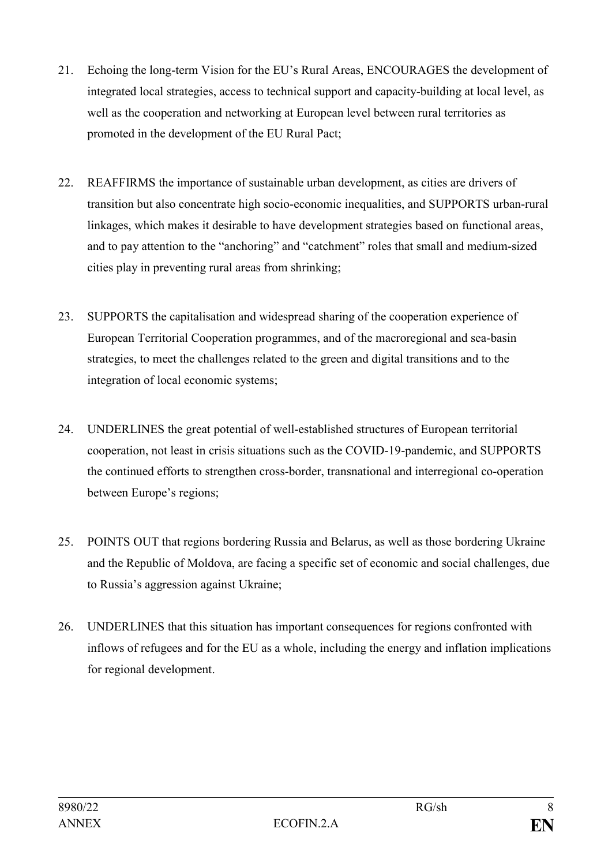- 21. Echoing the long-term Vision for the EU's Rural Areas, ENCOURAGES the development of integrated local strategies, access to technical support and capacity-building at local level, as well as the cooperation and networking at European level between rural territories as promoted in the development of the EU Rural Pact;
- 22. REAFFIRMS the importance of sustainable urban development, as cities are drivers of transition but also concentrate high socio-economic inequalities, and SUPPORTS urban-rural linkages, which makes it desirable to have development strategies based on functional areas, and to pay attention to the "anchoring" and "catchment" roles that small and medium-sized cities play in preventing rural areas from shrinking;
- 23. SUPPORTS the capitalisation and widespread sharing of the cooperation experience of European Territorial Cooperation programmes, and of the macroregional and sea-basin strategies, to meet the challenges related to the green and digital transitions and to the integration of local economic systems;
- 24. UNDERLINES the great potential of well-established structures of European territorial cooperation, not least in crisis situations such as the COVID-19-pandemic, and SUPPORTS the continued efforts to strengthen cross-border, transnational and interregional co-operation between Europe's regions;
- 25. POINTS OUT that regions bordering Russia and Belarus, as well as those bordering Ukraine and the Republic of Moldova, are facing a specific set of economic and social challenges, due to Russia's aggression against Ukraine;
- 26. UNDERLINES that this situation has important consequences for regions confronted with inflows of refugees and for the EU as a whole, including the energy and inflation implications for regional development.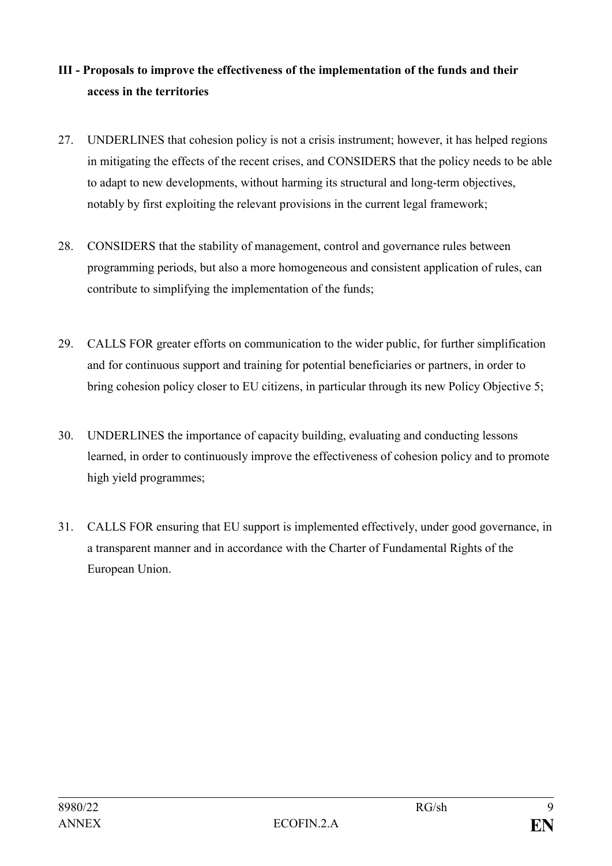## **III - Proposals to improve the effectiveness of the implementation of the funds and their access in the territories**

- 27. UNDERLINES that cohesion policy is not a crisis instrument; however, it has helped regions in mitigating the effects of the recent crises, and CONSIDERS that the policy needs to be able to adapt to new developments, without harming its structural and long-term objectives, notably by first exploiting the relevant provisions in the current legal framework;
- 28. CONSIDERS that the stability of management, control and governance rules between programming periods, but also a more homogeneous and consistent application of rules, can contribute to simplifying the implementation of the funds;
- 29. CALLS FOR greater efforts on communication to the wider public, for further simplification and for continuous support and training for potential beneficiaries or partners, in order to bring cohesion policy closer to EU citizens, in particular through its new Policy Objective 5;
- 30. UNDERLINES the importance of capacity building, evaluating and conducting lessons learned, in order to continuously improve the effectiveness of cohesion policy and to promote high yield programmes;
- 31. CALLS FOR ensuring that EU support is implemented effectively, under good governance, in a transparent manner and in accordance with the Charter of Fundamental Rights of the European Union.